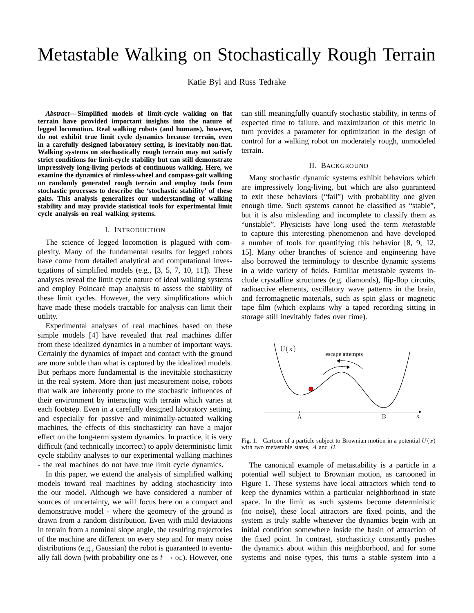# Metastable Walking on Stochastically Rough Terrain

Katie Byl and Russ Tedrake

*Abstract***— Simplified models of limit-cycle walking on flat terrain have provided important insights into the nature of legged locomotion. Real walking robots (and humans), however, do not exhibit true limit cycle dynamics because terrain, even in a carefully designed laboratory setting, is inevitably non-flat. Walking systems on stochastically rough terrain may not satisfy strict conditions for limit-cycle stability but can still demonstrate impressively long-living periods of continuous walking. Here, we examine the dynamics of rimless-wheel and compass-gait walking on randomly generated rough terrain and employ tools from stochastic processes to describe the 'stochastic stability' of these gaits. This analysis generalizes our understanding of walking stability and may provide statistical tools for experimental limit cycle analysis on real walking systems.**

#### I. INTRODUCTION

The science of legged locomotion is plagued with complexity. Many of the fundamental results for legged robots have come from detailed analytical and computational investigations of simplified models (e.g., [3, 5, 7, 10, 11]). These analyses reveal the limit cycle nature of ideal walking systems and employ Poincaré map analysis to assess the stability of these limit cycles. However, the very simplifications which have made these models tractable for analysis can limit their utility.

Experimental analyses of real machines based on these simple models [4] have revealed that real machines differ from these idealized dynamics in a number of important ways. Certainly the dynamics of impact and contact with the ground are more subtle than what is captured by the idealized models. But perhaps more fundamental is the inevitable stochasticity in the real system. More than just measurement noise, robots that walk are inherently prone to the stochastic influences of their environment by interacting with terrain which varies at each footstep. Even in a carefully designed laboratory setting, and especially for passive and minimally-actuated walking machines, the effects of this stochasticity can have a major effect on the long-term system dynamics. In practice, it is very difficult (and technically incorrect) to apply deterministic limit cycle stability analyses to our experimental walking machines - the real machines do not have true limit cycle dynamics.

In this paper, we extend the analysis of simplified walking models toward real machines by adding stochasticity into the our model. Although we have considered a number of sources of uncertainty, we will focus here on a compact and demonstrative model - where the geometry of the ground is drawn from a random distribution. Even with mild deviations in terrain from a nominal slope angle, the resulting trajectories of the machine are different on every step and for many noise distributions (e.g., Gaussian) the robot is guaranteed to eventually fall down (with probability one as  $t \to \infty$ ). However, one can still meaningfully quantify stochastic stability, in terms of expected time to failure, and maximization of this metric in turn provides a parameter for optimization in the design of control for a walking robot on moderately rough, unmodeled terrain.

# II. BACKGROUND

Many stochastic dynamic systems exhibit behaviors which are impressively long-living, but which are also guaranteed to exit these behaviors ("fail") with probability one given enough time. Such systems cannot be classified as "stable", but it is also misleading and incomplete to classify them as "unstable". Physicists have long used the term *metastable* to capture this interesting phenomenon and have developed a number of tools for quantifying this behavior [8, 9, 12, 15]. Many other branches of science and engineering have also borrowed the terminology to describe dynamic systems in a wide variety of fields. Familiar metastable systems include crystalline structures (e.g. diamonds), flip-flop circuits, radioactive elements, oscillatory wave patterns in the brain, and ferromagnetic materials, such as spin glass or magnetic tape film (which explains why a taped recording sitting in storage still inevitably fades over time).



Fig. 1. Cartoon of a particle subject to Brownian motion in a potential  $U(x)$ with two metastable states, A and B.

The canonical example of metastability is a particle in a potential well subject to Brownian motion, as cartooned in Figure 1. These systems have local attractors which tend to keep the dynamics within a particular neighborhood in state space. In the limit as such systems become deterministic (no noise), these local attractors are fixed points, and the system is truly stable whenever the dynamics begin with an initial condition somewhere inside the basin of attraction of the fixed point. In contrast, stochasticity constantly pushes the dynamics about within this neighborhood, and for some systems and noise types, this turns a stable system into a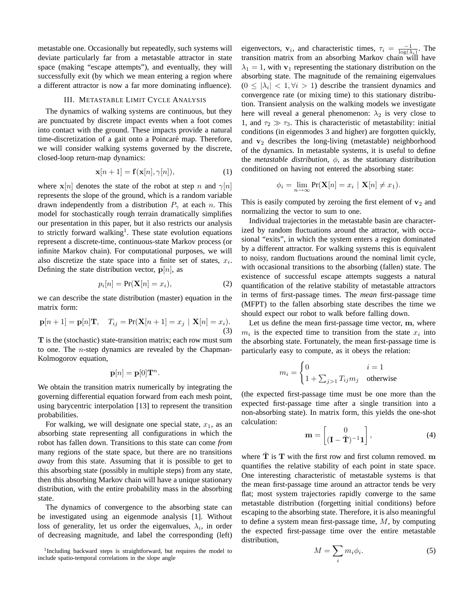metastable one. Occasionally but repeatedly, such systems will deviate particularly far from a metastable attractor in state space (making "escape attempts"), and eventually, they will successfully exit (by which we mean entering a region where a different attractor is now a far more dominating influence).

#### III. METASTABLE LIMIT CYCLE ANALYSIS

The dynamics of walking systems are continuous, but they are punctuated by discrete impact events when a foot comes into contact with the ground. These impacts provide a natural time-discretization of a gait onto a Poincaré map. Therefore, we will consider walking systems governed by the discrete, closed-loop return-map dynamics:

$$
\mathbf{x}[n+1] = \mathbf{f}(\mathbf{x}[n], \gamma[n]),\tag{1}
$$

where  $\mathbf{x}[n]$  denotes the state of the robot at step n and  $\gamma[n]$ represents the slope of the ground, which is a random variable drawn independently from a distribution  $P_{\gamma}$  at each n. This model for stochastically rough terrain dramatically simplifies our presentation in this paper, but it also restricts our analysis to strictly forward walking<sup>1</sup>. These state evolution equations represent a discrete-time, continuous-state Markov process (or infinite Markov chain). For computational purposes, we will also discretize the state space into a finite set of states,  $x_i$ . Defining the state distribution vector,  $p[n]$ , as

$$
p_i[n] = \Pr(\mathbf{X}[n] = x_i),\tag{2}
$$

we can describe the state distribution (master) equation in the matrix form:

$$
\mathbf{p}[n+1] = \mathbf{p}[n]\mathbf{T}, \quad T_{ij} = \Pr(\mathbf{X}[n+1] = x_j \mid \mathbf{X}[n] = x_i).
$$
\n(3)

T is the (stochastic) state-transition matrix; each row must sum to one. The  $n$ -step dynamics are revealed by the Chapman-Kolmogorov equation,

$$
\mathbf{p}[n] = \mathbf{p}[0]\mathbf{T}^n.
$$

We obtain the transition matrix numerically by integrating the governing differential equation forward from each mesh point, using barycentric interpolation [13] to represent the transition probabilities.

For walking, we will designate one special state,  $x_1$ , as an absorbing state representing all configurations in which the robot has fallen down. Transitions to this state can come *from* many regions of the state space, but there are no transitions *away* from this state. Assuming that it is possible to get to this absorbing state (possibly in multiple steps) from any state, then this absorbing Markov chain will have a unique stationary distribution, with the entire probability mass in the absorbing state.

The dynamics of convergence to the absorbing state can be investigated using an eigenmode analysis [1]. Without loss of generality, let us order the eigenvalues,  $\lambda_i$ , in order of decreasing magnitude, and label the corresponding (left)

<sup>1</sup>Including backward steps is straightforward, but requires the model to include spatio-temporal correlations in the slope angle

eigenvectors,  $v_i$ , and characteristic times,  $\tau_i = \frac{-1}{\log(\lambda_i)}$ . The transition matrix from an absorbing Markov chain will have  $\lambda_1 = 1$ , with  $\mathbf{v}_1$  representing the stationary distribution on the absorbing state. The magnitude of the remaining eigenvalues  $(0 \leq |\lambda_i| < 1, \forall i > 1)$  describe the transient dynamics and convergence rate (or mixing time) to this stationary distribution. Transient analysis on the walking models we investigate here will reveal a general phenomenon:  $\lambda_2$  is very close to 1, and  $\tau_2 \gg \tau_3$ . This is characteristic of metastability: initial conditions (in eigenmodes 3 and higher) are forgotten quickly, and  $v_2$  describes the long-living (metastable) neighborhood of the dynamics. In metastable systems, it is useful to define the *metastable distribution*,  $\phi$ , as the stationary distribution conditioned on having not entered the absorbing state:

$$
\phi_i = \lim_{n \to \infty} \Pr(\mathbf{X}[n] = x_i \mid \mathbf{X}[n] \neq x_1).
$$

This is easily computed by zeroing the first element of  $v_2$  and normalizing the vector to sum to one.

Individual trajectories in the metastable basin are characterized by random fluctuations around the attractor, with occasional "exits", in which the system enters a region dominated by a different attractor. For walking systems this is equivalent to noisy, random fluctuations around the nominal limit cycle, with occasional transitions to the absorbing (fallen) state. The existence of successful escape attempts suggests a natural quantification of the relative stability of metastable attractors in terms of first-passage times. The *mean* first-passage time (MFPT) to the fallen absorbing state describes the time we should expect our robot to walk before falling down.

Let us define the mean first-passage time vector, m, where  $m_i$  is the expected time to transition from the state  $x_i$  into the absorbing state. Fortunately, the mean first-passage time is particularly easy to compute, as it obeys the relation:

$$
m_i = \begin{cases} 0 & i = 1\\ 1 + \sum_{j>1} T_{ij} m_j & \text{otherwise} \end{cases}
$$

(the expected first-passage time must be one more than the expected first-passage time after a single transition into a non-absorbing state). In matrix form, this yields the one-shot calculation:

$$
\mathbf{m} = \begin{bmatrix} 0 \\ (\mathbf{I} - \hat{\mathbf{T}})^{-1} \mathbf{1} \end{bmatrix},\tag{4}
$$

where  $\hat{\mathbf{T}}$  is  $\mathbf{T}$  with the first row and first column removed. m quantifies the relative stability of each point in state space. One interesting characteristic of metastable systems is that the mean first-passage time around an attractor tends be very flat; most system trajectories rapidly converge to the same metastable distribution (forgetting initial conditions) before escaping to the absorbing state. Therefore, it is also meaningful to define a system mean first-passage time,  $M$ , by computing the expected first-passage time over the entire metastable distribution,

$$
M = \sum_{i} m_i \phi_i.
$$
 (5)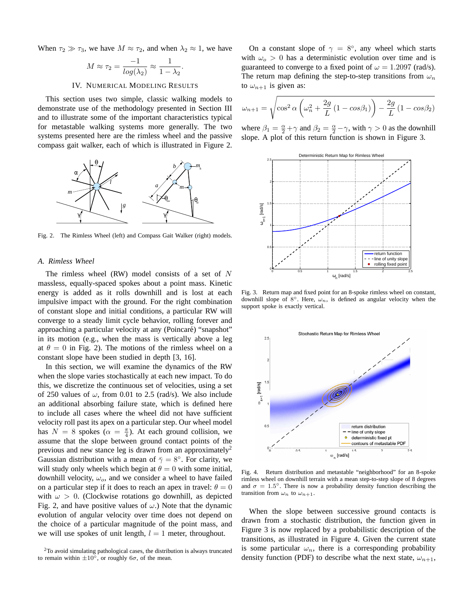When  $\tau_2 \gg \tau_3$ , we have  $M \approx \tau_2$ , and when  $\lambda_2 \approx 1$ , we have

$$
M \approx \tau_2 = \frac{-1}{\log(\lambda_2)} \approx \frac{1}{1 - \lambda_2}
$$

.

## IV. NUMERICAL MODELING RESULTS

This section uses two simple, classic walking models to demonstrate use of the methodology presented in Section III and to illustrate some of the important characteristics typical for metastable walking systems more generally. The two systems presented here are the rimless wheel and the passive compass gait walker, each of which is illustrated in Figure 2.



Fig. 2. The Rimless Wheel (left) and Compass Gait Walker (right) models.

## *A. Rimless Wheel*

The rimless wheel (RW) model consists of a set of  $N$ massless, equally-spaced spokes about a point mass. Kinetic energy is added as it rolls downhill and is lost at each impulsive impact with the ground. For the right combination of constant slope and initial conditions, a particular RW will converge to a steady limit cycle behavior, rolling forever and approaching a particular velocity at any (Poincaré) "snapshot" in its motion (e.g., when the mass is vertically above a leg at  $\theta = 0$  in Fig. 2). The motions of the rimless wheel on a constant slope have been studied in depth [3, 16].

In this section, we will examine the dynamics of the RW when the slope varies stochastically at each new impact. To do this, we discretize the continuous set of velocities, using a set of 250 values of  $\omega$ , from 0.01 to 2.5 (rad/s). We also include an additional absorbing failure state, which is defined here to include all cases where the wheel did not have sufficient velocity roll past its apex on a particular step. Our wheel model has  $N = 8$  spokes ( $\alpha = \frac{\pi}{4}$ ). At each ground collision, we assume that the slope between ground contact points of the previous and new stance leg is drawn from an approximately<sup>2</sup> Gaussian distribution with a mean of  $\bar{\gamma} = 8^{\circ}$ . For clarity, we will study only wheels which begin at  $\theta = 0$  with some initial, downhill velocity,  $\omega_o$ , and we consider a wheel to have failed on a particular step if it does to reach an apex in travel:  $\theta = 0$ with  $\omega > 0$ . (Clockwise rotations go downhill, as depicted Fig. 2, and have positive values of  $\omega$ .) Note that the dynamic evolution of angular velocity over time does not depend on the choice of a particular magnitude of the point mass, and we will use spokes of unit length,  $l = 1$  meter, throughout.

On a constant slope of  $\gamma = 8^\circ$ , any wheel which starts with  $\omega_o > 0$  has a deterministic evolution over time and is guaranteed to converge to a fixed point of  $\omega = 1.2097$  (rad/s). The return map defining the step-to-step transitions from  $\omega_n$ to  $\omega_{n+1}$  is given as:

$$
\omega_{n+1} = \sqrt{\cos^2 \alpha \left(\omega_n^2 + \frac{2g}{L} \left(1 - \cos\beta_1\right)\right) - \frac{2g}{L} \left(1 - \cos\beta_2\right)}
$$

where  $\beta_1 = \frac{\alpha}{2} + \gamma$  and  $\beta_2 = \frac{\alpha}{2} - \gamma$ , with  $\gamma > 0$  as the downhill slope. A plot of this return function is shown in Figure 3.



Fig. 3. Return map and fixed point for an 8-spoke rimless wheel on constant, downhill slope of  $8^\circ$ . Here,  $\omega_n$ , is defined as angular velocity when the support spoke is exactly vertical.



Fig. 4. Return distribution and metastable "neighborhood" for an 8-spoke rimless wheel on downhill terrain with a mean step-to-step slope of 8 degrees and  $\sigma = 1.5^{\circ}$ . There is now a probability density function describing the transition from  $\omega_n$  to  $\omega_{n+1}$ .

When the slope between successive ground contacts is drawn from a stochastic distribution, the function given in Figure 3 is now replaced by a probabilistic description of the transitions, as illustrated in Figure 4. Given the current state is some particular  $\omega_n$ , there is a corresponding probability density function (PDF) to describe what the next state,  $\omega_{n+1}$ ,

<sup>&</sup>lt;sup>2</sup>To avoid simulating pathological cases, the distribution is always truncated to remain within  $\pm 10^\circ$ , or roughly 6 $\sigma$ , of the mean.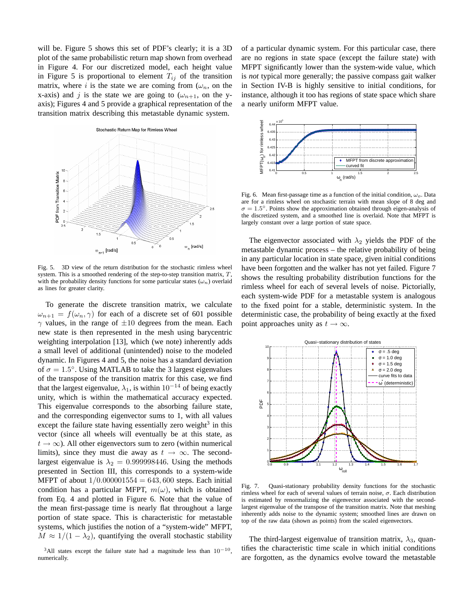will be. Figure 5 shows this set of PDF's clearly; it is a 3D plot of the same probabilistic return map shown from overhead in Figure 4. For our discretized model, each height value in Figure 5 is proportional to element  $T_{ij}$  of the transition matrix, where i is the state we are coming from  $(\omega_n)$ , on the x-axis) and j is the state we are going to  $(\omega_{n+1}, 0)$  the yaxis); Figures 4 and 5 provide a graphical representation of the transition matrix describing this metastable dynamic system.



Fig. 5. 3D view of the return distribution for the stochastic rimless wheel system. This is a smoothed rendering of the step-to-step transition matrix, T, with the probability density functions for some particular states  $(\omega_n)$  overlaid as lines for greater clarity.

To generate the discrete transition matrix, we calculate  $\omega_{n+1} = f(\omega_n, \gamma)$  for each of a discrete set of 601 possible  $\gamma$  values, in the range of  $\pm 10$  degrees from the mean. Each new state is then represented in the mesh using barycentric weighting interpolation [13], which (we note) inherently adds a small level of additional (unintended) noise to the modeled dynamic. In Figures 4 and 5, the noise has a standard deviation of  $\sigma = 1.5^{\circ}$ . Using MATLAB to take the 3 largest eigenvalues of the transpose of the transition matrix for this case, we find that the largest eigenvalue,  $\lambda_1$ , is within 10<sup>-14</sup> of being exactly unity, which is within the mathematical accuracy expected. This eigenvalue corresponds to the absorbing failure state, and the corresponding eigenvector sums to 1, with all values except the failure state having essentially zero weight<sup>3</sup> in this vector (since all wheels will eventually be at this state, as  $t \to \infty$ ). All other eigenvectors sum to zero (within numerical limits), since they must die away as  $t \to \infty$ . The secondlargest eigenvalue is  $\lambda_2 = 0.999998446$ . Using the methods presented in Section III, this corresponds to a system-wide **MFPT** of about  $1/0.000001554 = 643,600$  steps. Each initial condition has a particular MFPT,  $m(\omega)$ , which is obtained from Eq. 4 and plotted in Figure 6. Note that the value of the mean first-passage time is nearly flat throughout a large portion of state space. This is characteristic for metastable systems, which justifies the notion of a "system-wide" MFPT,  $M \approx 1/(1 - \lambda_2)$ , quantifying the overall stochastic stability

<sup>3</sup>All states except the failure state had a magnitude less than  $10^{-10}$ , numerically.

of a particular dynamic system. For this particular case, there are no regions in state space (except the failure state) with MFPT significantly lower than the system-wide value, which is *not* typical more generally; the passive compass gait walker in Section IV-B is highly sensitive to initial conditions, for instance, although it too has regions of state space which share a nearly uniform MFPT value.



Fig. 6. Mean first-passage time as a function of the initial condition,  $\omega_o$ . Data are for a rimless wheel on stochastic terrain with mean slope of 8 deg and  $\sigma = 1.5^{\circ}$ . Points show the approximation obtained through eigen-analysis of the discretized system, and a smoothed line is overlaid. Note that MFPT is largely constant over a large portion of state space.

The eigenvector associated with  $\lambda_2$  yields the PDF of the metastable dynamic process – the relative probability of being in any particular location in state space, given initial conditions have been forgotten and the walker has not yet failed. Figure 7 shows the resulting probability distribution functions for the rimless wheel for each of several levels of noise. Pictorially, each system-wide PDF for a metastable system is analogous to the fixed point for a stable, deterministic system. In the deterministic case, the probability of being exactly at the fixed point approaches unity as  $t \to \infty$ .



Fig. 7. Quasi-stationary probability density functions for the stochastic rimless wheel for each of several values of terrain noise,  $\sigma$ . Each distribution is estimated by renormalizing the eigenvector associated with the secondlargest eigenvalue of the transpose of the transition matrix. Note that meshing inherently adds noise to the dynamic system; smoothed lines are drawn on top of the raw data (shown as points) from the scaled eigenvectors.

The third-largest eigenvalue of transition matrix,  $\lambda_3$ , quantifies the characteristic time scale in which initial conditions are forgotten, as the dynamics evolve toward the metastable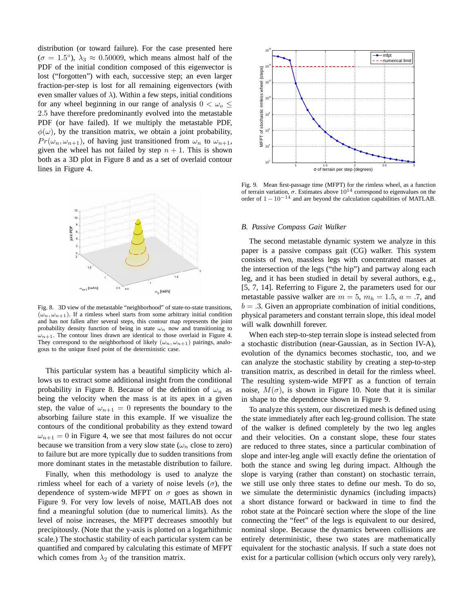distribution (or toward failure). For the case presented here  $(\sigma = 1.5^{\circ})$ ,  $\lambda_3 \approx 0.50009$ , which means almost half of the PDF of the initial condition composed of this eigenvector is lost ("forgotten") with each, successive step; an even larger fraction-per-step is lost for all remaining eigenvectors (with even smaller values of  $\lambda$ ). Within a few steps, initial conditions for any wheel beginning in our range of analysis  $0 < \omega_o \leq$ 2.5 have therefore predominantly evolved into the metastable PDF (or have failed). If we multiply the metastable PDF,  $\phi(\omega)$ , by the transition matrix, we obtain a joint probability,  $Pr(\omega_n, \omega_{n+1})$ , of having just transitioned from  $\omega_n$  to  $\omega_{n+1}$ , given the wheel has not failed by step  $n + 1$ . This is shown both as a 3D plot in Figure 8 and as a set of overlaid contour lines in Figure 4.



Fig. 8. 3D view of the metastable "neighborhood" of state-to-state transitions,  $(\omega_n, \omega_{n+1})$ . If a rimless wheel starts from some arbitrary initial condition and has not fallen after several steps, this contour map represents the joint probability density function of being in state  $\omega_n$  now and transitioning to  $\omega_{n+1}$ . The contour lines drawn are identical to those overlaid in Figure 4. They correspond to the neighborhood of likely  $(\omega_n, \omega_{n+1})$  pairings, analogous to the unique fixed point of the deterministic case.

This particular system has a beautiful simplicity which allows us to extract some additional insight from the conditional probability in Figure 8. Because of the definition of  $\omega_n$  as being the velocity when the mass is at its apex in a given step, the value of  $\omega_{n+1} = 0$  represents the boundary to the absorbing failure state in this example. If we visualize the contours of the conditional probability as they extend toward  $\omega_{n+1} = 0$  in Figure 4, we see that most failures do not occur because we transition from a very slow state  $(\omega_n)$  close to zero) to failure but are more typically due to sudden transitions from more dominant states in the metastable distribution to failure.

Finally, when this methodology is used to analyze the rimless wheel for each of a variety of noise levels  $(\sigma)$ , the dependence of system-wide MFPT on  $\sigma$  goes as shown in Figure 9. For very low levels of noise, MATLAB does not find a meaningful solution (due to numerical limits). As the level of noise increases, the MFPT decreases smoothly but precipitously. (Note that the y-axis is plotted on a logarhithmic scale.) The stochastic stability of each particular system can be quantified and compared by calculating this estimate of MFPT which comes from  $\lambda_2$  of the transition matrix.



Fig. 9. Mean first-passage time (MFPT) for the rimless wheel, as a function of terrain variation,  $\sigma$ . Estimates above  $10^{14}$  correspond to eigenvalues on the order of  $1 - 10^{-14}$  and are beyond the calculation capabilities of MATLAB.

#### *B. Passive Compass Gait Walker*

The second metastable dynamic system we analyze in this paper is a passive compass gait (CG) walker. This system consists of two, massless legs with concentrated masses at the intersection of the legs ("the hip") and partway along each leg, and it has been studied in detail by several authors, e.g., [5, 7, 14]. Referring to Figure 2, the parameters used for our metastable passive walker are  $m = 5$ ,  $m_h = 1.5$ ,  $a = .7$ , and  $b = 0.3$ . Given an appropriate combination of initial conditions, physical parameters and constant terrain slope, this ideal model will walk downhill forever.

When each step-to-step terrain slope is instead selected from a stochastic distribution (near-Gaussian, as in Section IV-A), evolution of the dynamics becomes stochastic, too, and we can analyze the stochastic stability by creating a step-to-step transition matrix, as described in detail for the rimless wheel. The resulting system-wide MFPT as a function of terrain noise,  $M(\sigma)$ , is shown in Figure 10. Note that it is similar in shape to the dependence shown in Figure 9.

To analyze this system, our discretized mesh is defined using the state immediately after each leg-ground collision. The state of the walker is defined completely by the two leg angles and their velocities. On a constant slope, these four states are reduced to three states, since a particular combination of slope and inter-leg angle will exactly define the orientation of both the stance and swing leg during impact. Although the slope is varying (rather than constant) on stochastic terrain, we still use only three states to define our mesh. To do so, we simulate the deterministic dynamics (including impacts) a short distance forward or backward in time to find the robot state at the Poincaré section where the slope of the line connecting the "feet" of the legs is equivalent to our desired, nominal slope. Because the dynamics between collisions are entirely deterministic, these two states are mathematically equivalent for the stochastic analysis. If such a state does not exist for a particular collision (which occurs only very rarely),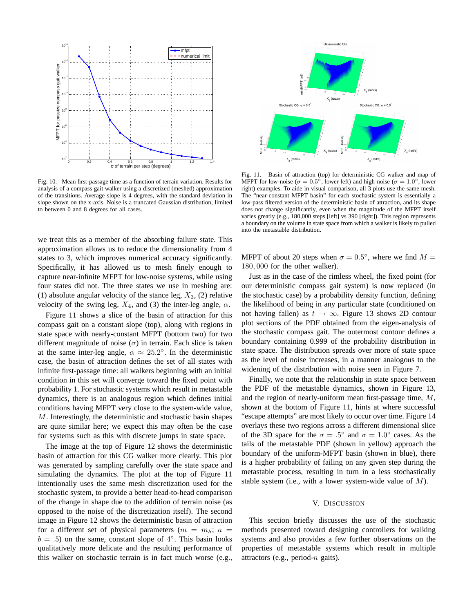

Fig. 10. Mean first-passage time as a function of terrain variation. Results for analysis of a compass gait walker using a discretized (meshed) approximation of the transitions. Average slope is 4 degrees, with the standard deviation in slope shown on the x-axis. Noise is a truncated Gaussian distribution, limited to between 0 and 8 degrees for all cases.

we treat this as a member of the absorbing failure state. This approximation allows us to reduce the dimensionality from 4 states to 3, which improves numerical accuracy significantly. Specifically, it has allowed us to mesh finely enough to capture near-infinite MFPT for low-noise systems, while using four states did not. The three states we use in meshing are: (1) absolute angular velocity of the stance leg,  $X_3$ , (2) relative velocity of the swing leg,  $X_4$ , and (3) the inter-leg angle,  $\alpha$ .

Figure 11 shows a slice of the basin of attraction for this compass gait on a constant slope (top), along with regions in state space with nearly-constant MFPT (bottom two) for two different magnitude of noise  $(\sigma)$  in terrain. Each slice is taken at the same inter-leg angle,  $\alpha \approx 25.2^{\circ}$ . In the deterministic case, the basin of attraction defines the set of all states with infinite first-passage time: all walkers beginning with an initial condition in this set will converge toward the fixed point with probability 1. For stochastic systems which result in metastable dynamics, there is an analogous region which defines initial conditions having MFPT very close to the system-wide value, M. Interestingly, the deterministic and stochastic basin shapes are quite similar here; we expect this may often be the case for systems such as this with discrete jumps in state space.

The image at the top of Figure 12 shows the deterministic basin of attraction for this CG walker more clearly. This plot was generated by sampling carefully over the state space and simulating the dynamics. The plot at the top of Figure 11 intentionally uses the same mesh discretization used for the stochastic system, to provide a better head-to-head comparison of the change in shape due to the addition of terrain noise (as opposed to the noise of the discretization itself). The second image in Figure 12 shows the deterministic basin of attraction for a different set of physical parameters  $(m = m_h; a =$  $b = .5$ ) on the same, constant slope of  $4^\circ$ . This basin looks qualitatively more delicate and the resulting performance of this walker on stochastic terrain is in fact much worse (e.g.,



Fig. 11. Basin of attraction (top) for deterministic CG walker and map of MFPT for low-noise ( $\sigma = 0.5^{\circ}$ , lower left) and high-noise ( $\sigma = 1.0^{\circ}$ , lower right) examples. To aide in visual comparison, all 3 plots use the same mesh. The "near-constant MFPT basin" for each stochastic system is essentially a low-pass filtered version of the deterministic basin of attraction, and its shape does not change significantly, even when the magnitude of the MFPT itself varies greatly (e.g., 180,000 steps [left] vs 390 [right]). This region represents a boundary on the volume in state space from which a walker is likely to pulled into the metastable distribution.

MFPT of about 20 steps when  $\sigma = 0.5^{\circ}$ , where we find  $M =$ 180, 000 for the other walker).

Just as in the case of the rimless wheel, the fixed point (for our deterministic compass gait system) is now replaced (in the stochastic case) by a probability density function, defining the likelihood of being in any particular state (conditioned on not having fallen) as  $t \to \infty$ . Figure 13 shows 2D contour plot sections of the PDF obtained from the eigen-analysis of the stochastic compass gait. The outermost contour defines a boundary containing 0.999 of the probability distribution in state space. The distribution spreads over more of state space as the level of noise increases, in a manner analogous to the widening of the distribution with noise seen in Figure 7.

Finally, we note that the relationship in state space between the PDF of the metastable dynamics, shown in Figure 13, and the region of nearly-uniform mean first-passage time, M, shown at the bottom of Figure 11, hints at where successful "escape attempts" are most likely to occur over time. Figure 14 overlays these two regions across a different dimensional slice of the 3D space for the  $\sigma = .5^{\circ}$  and  $\sigma = 1.0^{\circ}$  cases. As the tails of the metastable PDF (shown in yellow) approach the boundary of the uniform-MFPT basin (shown in blue), there is a higher probability of failing on any given step during the metastable process, resulting in turn in a less stochastically stable system (i.e., with a lower system-wide value of  $M$ ).

## V. DISCUSSION

This section briefly discusses the use of the stochastic methods presented toward designing controllers for walking systems and also provides a few further observations on the properties of metastable systems which result in multiple attractors (e.g., period-n gaits).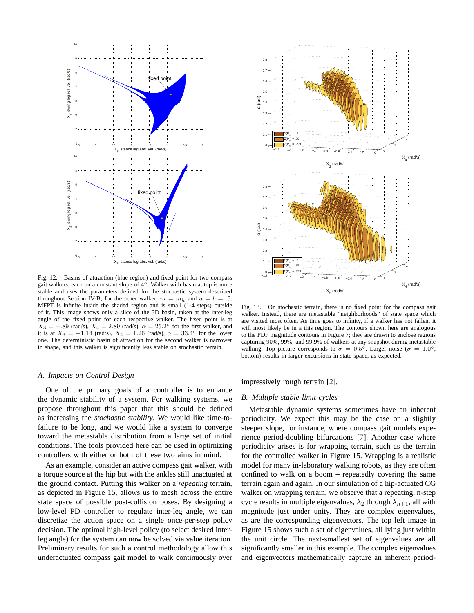

Fig. 12. Basins of attraction (blue region) and fixed point for two compass gait walkers, each on a constant slope of  $4^{\circ}$ . Walker with basin at top is more stable and uses the parameters defined for the stochastic system described throughout Section IV-B; for the other walker,  $m = m_h$  and  $a = b = .5$ . MFPT is infinite inside the shaded region and is small (1-4 steps) outside of it. This image shows only a slice of the 3D basin, taken at the inter-leg angle of the fixed point for each respective walker. The fixed point is at  $X_3 = -.89$  (rad/s),  $X_4 = 2.89$  (rad/s),  $\alpha = 25.2^\circ$  for the first walker, and it is at  $X_3 = -1.14$  (rad/s),  $X_4 = 1.26$  (rad/s),  $\alpha = 33.4^{\circ}$  for the lower one. The deterministic basin of attraction for the second walker is narrower in shape, and this walker is significantly less stable on stochastic terrain.

#### *A. Impacts on Control Design*

One of the primary goals of a controller is to enhance the dynamic stability of a system. For walking systems, we propose throughout this paper that this should be defined as increasing the *stochastic stability*. We would like time-tofailure to be long, and we would like a system to converge toward the metastable distribution from a large set of initial conditions. The tools provided here can be used in optimizing controllers with either or both of these two aims in mind.

As an example, consider an active compass gait walker, with a torque source at the hip but with the ankles still unactuated at the ground contact. Putting this walker on a *repeating* terrain, as depicted in Figure 15, allows us to mesh across the entire state space of possible post-collision poses. By designing a low-level PD controller to regulate inter-leg angle, we can discretize the action space on a single once-per-step policy decision. The optimal high-level policy (to select desired interleg angle) for the system can now be solved via value iteration. Preliminary results for such a control methodology allow this underactuated compass gait model to walk continuously over



Fig. 13. On stochastic terrain, there is no fixed point for the compass gait walker. Instead, there are metastable "neighborhoods" of state space which are visited most often. As time goes to infinity, if a walker has not fallen, it will most likely be in a this region. The contours shown here are analogous to the PDF magnitude contours in Figure 7; they are drawn to enclose regions capturing 90%, 99%, and 99.9% of walkers at any snapshot during metastable walking. Top picture corresponds to  $\sigma = 0.5^{\circ}$ . Larger noise ( $\sigma = 1.0^{\circ}$ , bottom) results in larger excursions in state space, as expected.

impressively rough terrain [2].

#### *B. Multiple stable limit cycles*

Metastable dynamic systems sometimes have an inherent periodicity. We expect this may be the case on a slightly steeper slope, for instance, where compass gait models experience period-doubling bifurcations [7]. Another case where periodicity arises is for wrapping terrain, such as the terrain for the controlled walker in Figure 15. Wrapping is a realistic model for many in-laboratory walking robots, as they are often confined to walk on a boom – repeatedly covering the same terrain again and again. In our simulation of a hip-actuated CG walker on wrapping terrain, we observe that a repeating, n-step cycle results in multiple eigenvalues,  $\lambda_2$  through  $\lambda_{n+1}$ , all with magnitude just under unity. They are complex eigenvalues, as are the corresponding eigenvectors. The top left image in Figure 15 shows such a set of eigenvalues, all lying just within the unit circle. The next-smallest set of eigenvalues are all significantly smaller in this example. The complex eigenvalues and eigenvectors mathematically capture an inherent period-